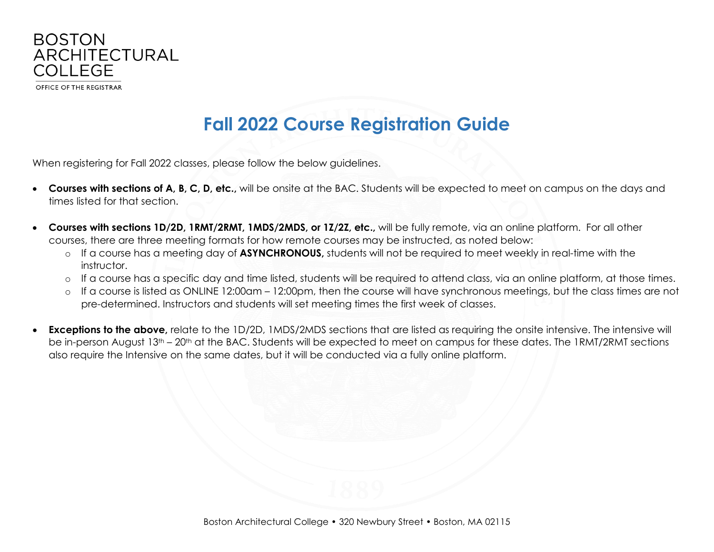

## **Fall 2022 Course Registration Guide**

When registering for Fall 2022 classes, please follow the below guidelines.

- **Courses with sections of A, B, C, D, etc.,** will be onsite at the BAC. Students will be expected to meet on campus on the days and times listed for that section.
- **Courses with sections 1D/2D, 1RMT/2RMT, 1MDS/2MDS, or 1Z/2Z, etc.,** will be fully remote, via an online platform. For all other courses, there are three meeting formats for how remote courses may be instructed, as noted below:
	- o If a course has a meeting day of **ASYNCHRONOUS,** students will not be required to meet weekly in real-time with the instructor.
	- o If a course has a specific day and time listed, students will be required to attend class, via an online platform, at those times.
	- o If a course is listed as ONLINE 12:00am 12:00pm, then the course will have synchronous meetings, but the class times are not pre-determined. Instructors and students will set meeting times the first week of classes.
- **Exceptions to the above,** relate to the 1D/2D, 1MDS/2MDS sections that are listed as requiring the onsite intensive. The intensive will be in-person August 13<sup>th</sup> – 20<sup>th</sup> at the BAC. Students will be expected to meet on campus for these dates. The 1RMT/2RMT sections also require the Intensive on the same dates, but it will be conducted via a fully online platform.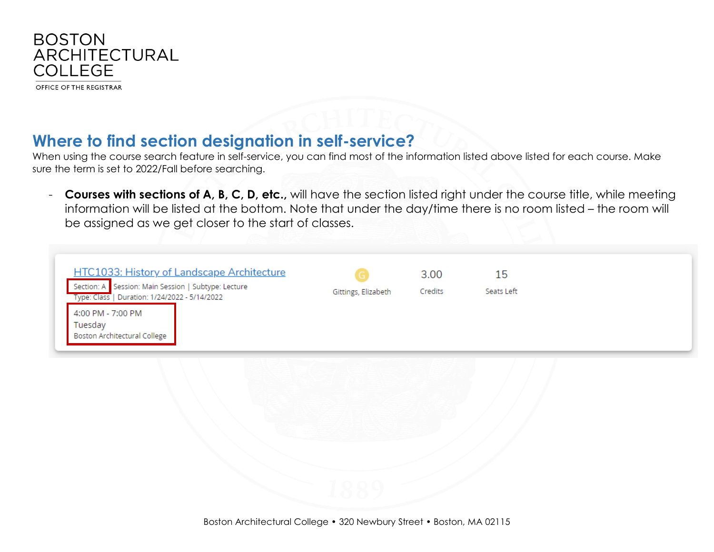

## **Where to find section designation in self-service?**

When using the course search feature in self-service, you can find most of the information listed above listed for each course. Make sure the term is set to 2022/Fall before searching.

- **Courses with sections of A, B, C, D, etc.,** will have the section listed right under the course title, while meeting information will be listed at the bottom. Note that under the day/time there is no room listed – the room will be assigned as we get closer to the start of classes.

| <b>HTC1033: History of Landscape Architecture</b><br>Section: A Session: Main Session   Subtype: Lecture<br>Type: Class   Duration: 1/24/2022 - 5/14/2022<br>4:00 PM - 7:00 PM<br>Tuesday | Gittings, Elizabeth | 3.00<br>Credits | 15<br>Seats Left |  |
|-------------------------------------------------------------------------------------------------------------------------------------------------------------------------------------------|---------------------|-----------------|------------------|--|
| <b>Boston Architectural College</b>                                                                                                                                                       |                     |                 |                  |  |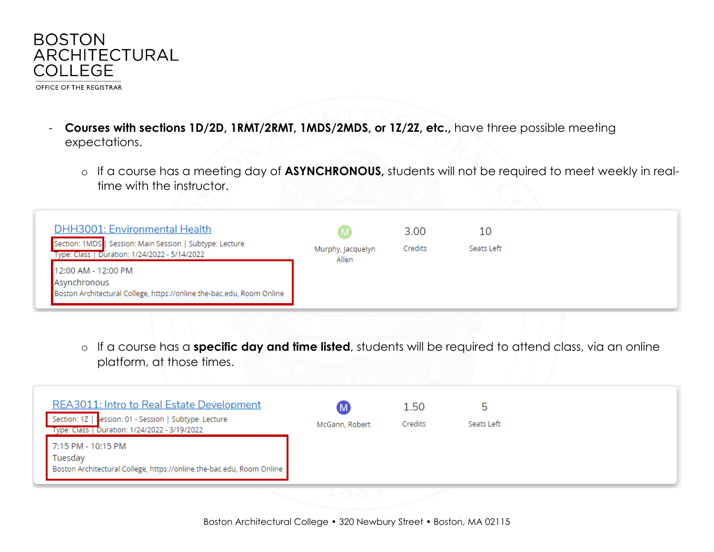

- **Courses with sections 1D/2D, 1RMT/2RMT, 1MDS/2MDS, or 1Z/2Z, etc.,** have three possible meeting expectations.
	- o If a course has a meeting day of **ASYNCHRONOUS,** students will not be required to meet weekly in realtime with the instructor.

| <b>DHH3001: Environmental Health</b><br>Section: 1MDS   Session: Main Session   Subtype: Lecture<br>Type: Class   Duration: 1/24/2022 - 5/14/2022 | Murphy, Jacquelyn<br>Allen | 3.00<br>Credits | 10<br>Seats Left |  |
|---------------------------------------------------------------------------------------------------------------------------------------------------|----------------------------|-----------------|------------------|--|
| 12:00 AM - 12:00 PM<br>Asynchronous<br>Boston Architectural College, https://online.the-bac.edu, Room Online                                      |                            |                 |                  |  |

o If a course has a **specific day and time listed**, students will be required to attend class, via an online platform, at those times.

| 7:15 PM - 10:15 PM<br>Tuesday                                         |
|-----------------------------------------------------------------------|
| Boston Architectural College, https://online.the-bac.edu, Room Online |